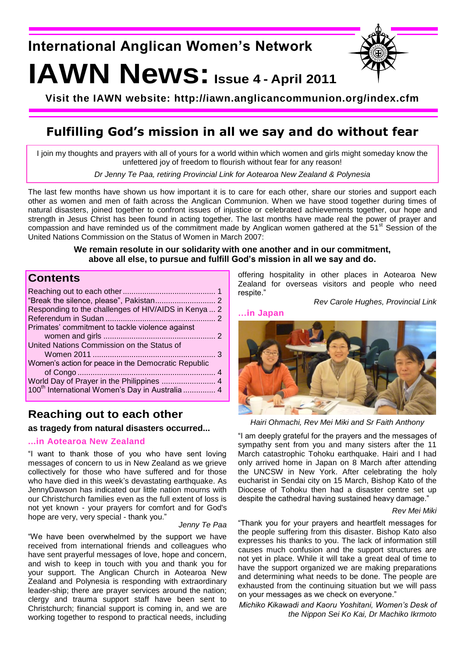**International Anglican Women's Network**

# **IAWN News:Issue 4 - April <sup>2011</sup>**



**Visit the IAWN website: http://iawn.anglicancommunion.org/index.cfm**

# **Fulfilling God's mission in all we say and do without fear**

I join my thoughts and prayers with all of yours for a world within which women and girls might someday know the unfettered joy of freedom to flourish without fear for any reason!

*Dr Jenny Te Paa, retiring Provincial Link for Aotearoa New Zealand & Polynesia*

The last few months have shown us how important it is to care for each other, share our stories and support each other as women and men of faith across the Anglican Communion. When we have stood together during times of natural disasters, joined together to confront issues of injustice or celebrated achievements together, our hope and strength in Jesus Christ has been found in acting together. The last months have made real the power of prayer and compassion and have reminded us of the commitment made by Anglican women gathered at the 51<sup>st</sup> Session of the United Nations Commission on the Status of Women in March 2007:

## **We remain resolute in our solidarity with one another and in our commitment, above all else, to pursue and fulfill God's mission in all we say and do.**

## **Contents**

| Responding to the challenges of HIV/AIDS in Kenya  2        |  |
|-------------------------------------------------------------|--|
|                                                             |  |
| Primates' commitment to tackle violence against             |  |
|                                                             |  |
| United Nations Commission on the Status of                  |  |
|                                                             |  |
| Women's action for peace in the Democratic Republic         |  |
|                                                             |  |
| World Day of Prayer in the Philippines  4                   |  |
| 100 <sup>th</sup> International Women's Day in Australia  4 |  |

## **Reaching out to each other**

**as tragedy from natural disasters occurred...**

## **...in Aotearoa New Zealand**

"I want to thank those of you who have sent loving messages of concern to us in New Zealand as we grieve collectively for those who have suffered and for those who have died in this week's devastating earthquake. As JennyDawson has indicated our little nation mourns with our Christchurch families even as the full extent of loss is not yet known - your prayers for comfort and for God's hope are very, very special - thank you."

#### *Jenny Te Paa*

"We have been overwhelmed by the support we have received from international friends and colleagues who have sent prayerful messages of love, hope and concern, and wish to keep in touch with you and thank you for your support. The Anglican Church in Aotearoa New Zealand and Polynesia is responding with extraordinary leader-ship; there are prayer services around the nation; clergy and trauma support staff have been sent to Christchurch; financial support is coming in, and we are working together to respond to practical needs, including

offering hospitality in other places in Aotearoa New Zealand for overseas visitors and people who need respite."

*Rev Carole Hughes, Provincial Link*







*Hairi Ohmachi, Rev Mei Miki and Sr Faith Anthony*

"I am deeply grateful for the prayers and the messages of sympathy sent from you and many sisters after the 11 March catastrophic Tohoku earthquake. Hairi and I had only arrived home in Japan on 8 March after attending the UNCSW in New York. After celebrating the holy eucharist in Sendai city on 15 March, Bishop Kato of the Diocese of Tohoku then had a disaster centre set up despite the cathedral having sustained heavy damage."

#### *Rev Mei Miki*

"Thank you for your prayers and heartfelt messages for the people suffering from this disaster. Bishop Kato also expresses his thanks to you. The lack of information still causes much confusion and the support structures are not yet in place. While it will take a great deal of time to have the support organized we are making preparations and determining what needs to be done. The people are exhausted from the continuing situation but we will pass on your messages as we check on everyone."

*Michiko Kikawadi and Kaoru Yoshitani, Women's Desk of the Nippon Sei Ko Kai, Dr Machiko Ikrmoto*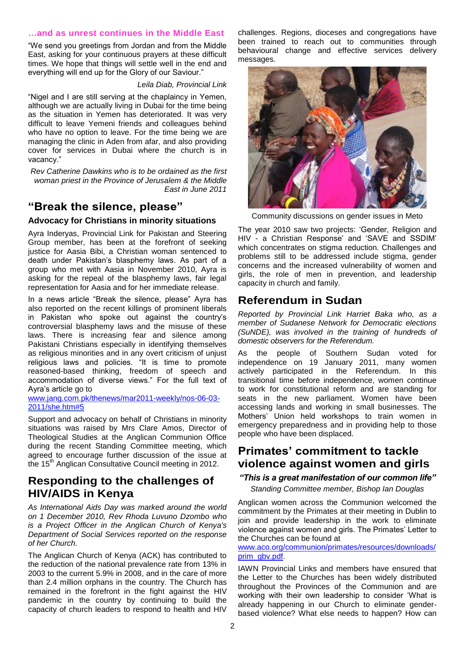## **…and as unrest continues in the Middle East**

"We send you greetings from Jordan and from the Middle East, asking for your continuous prayers at these difficult times. We hope that things will settle well in the end and everything will end up for the Glory of our Saviour."

#### *Leila Diab, Provincial Link*

"Nigel and I are still serving at the chaplaincy in Yemen, although we are actually living in Dubai for the time being as the situation in Yemen has deteriorated. It was very difficult to leave Yemeni friends and colleagues behind who have no option to leave. For the time being we are managing the clinic in Aden from afar, and also providing cover for services in Dubai where the church is in vacancy."

*Rev Catherine Dawkins who is to be ordained as the first woman priest in the Province of Jerusalem & the Middle East in June 2011*

## **"Break the silence, please"**

#### **Advocacy for Christians in minority situations**

Ayra Inderyas, Provincial Link for Pakistan and Steering Group member, has been at the forefront of seeking justice for Aasia Bibi, a Christian woman sentenced to death under Pakistan's blasphemy laws. As part of a group who met with Aasia in November 2010, Ayra is asking for the repeal of the blasphemy laws, fair legal representation for Aasia and for her immediate release.

In a news article "Break the silence, please" Ayra has also reported on the recent killings of prominent liberals in Pakistan who spoke out against the country"s controversial blasphemy laws and the misuse of these laws. There is increasing fear and silence among Pakistani Christians especially in identifying themselves as religious minorities and in any overt criticism of unjust religious laws and policies. "It is time to promote reasoned-based thinking, freedom of speech and accommodation of diverse views." For the full text of Ayra"s article go to

## [www.jang.com.pk/thenews/mar2011-weekly/nos-06-03-](http://www.jang.com.pk/thenews/mar2011-weekly/nos-06-03-2011/she.htm#5) [2011/she.htm#5](http://www.jang.com.pk/thenews/mar2011-weekly/nos-06-03-2011/she.htm#5)

Support and advocacy on behalf of Christians in minority situations was raised by Mrs Clare Amos, Director of Theological Studies at the Anglican Communion Office during the recent Standing Committee meeting, which agreed to encourage further discussion of the issue at the 15<sup>th</sup> Anglican Consultative Council meeting in 2012.

## **Responding to the challenges of HIV/AIDS in Kenya**

*As International Aids Day was marked around the world on 1 December 2010, Rev Rhoda Luvuno Dzombo who is a Project Officer in the Anglican Church of Kenya's Department of Social Services reported on the response of her Church.*

The Anglican Church of Kenya (ACK) has contributed to the reduction of the national prevalence rate from 13% in 2003 to the current 5.9% in 2008, and in the care of more than 2.4 million orphans in the country. The Church has remained in the forefront in the fight against the HIV pandemic in the country by continuing to build the capacity of church leaders to respond to health and HIV

challenges. Regions, dioceses and congregations have been trained to reach out to communities through behavioural change and effective services delivery messages.



Community discussions on gender issues in Meto

The year 2010 saw two projects: "Gender, Religion and HIV - a Christian Response' and 'SAVE and SSDIM' which concentrates on stigma reduction. Challenges and problems still to be addressed include stigma, gender concerns and the increased vulnerability of women and girls, the role of men in prevention, and leadership capacity in church and family.

## **Referendum in Sudan**

*Reported by Provincial Link Harriet Baka who, as a member of Sudanese Network for Democratic elections (SuNDE), was involved in the training of hundreds of domestic observers for the Referendum.*

As the people of Southern Sudan voted for independence on 19 January 2011, many women actively participated in the Referendum. In this transitional time before independence, women continue to work for constitutional reform and are standing for seats in the new parliament. Women have been accessing lands and working in small businesses. The Mothers" Union held workshops to train women in emergency preparedness and in providing help to those people who have been displaced.

## **Primates' commitment to tackle violence against women and girls**

*"This is a great manifestation of our common life" Standing Committee member, Bishop Ian Douglas*

Anglican women across the Communion welcomed the commitment by the Primates at their meeting in Dublin to join and provide leadership in the work to eliminate violence against women and girls. The Primates' Letter to the Churches can be found at

#### [www.aco.org/communion/primates/resources/downloads/](http://www.aco.org/communion/primates/resources/downloads/prim_gbv.pdf) [prim\\_gbv.pdf.](http://www.aco.org/communion/primates/resources/downloads/prim_gbv.pdf)

IAWN Provincial Links and members have ensured that the Letter to the Churches has been widely distributed throughout the Provinces of the Communion and are working with their own leadership to consider "What is already happening in our Church to eliminate genderbased violence? What else needs to happen? How can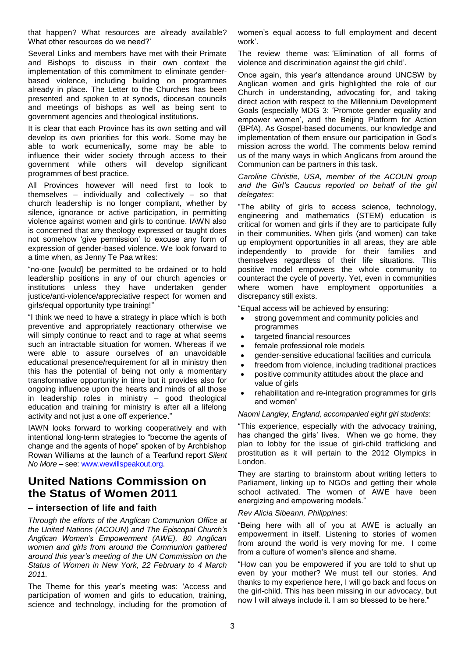that happen? What resources are already available? What other resources do we need?"

Several Links and members have met with their Primate and Bishops to discuss in their own context the implementation of this commitment to eliminate genderbased violence, including building on programmes already in place. The Letter to the Churches has been presented and spoken to at synods, diocesan councils and meetings of bishops as well as being sent to government agencies and theological institutions.

It is clear that each Province has its own setting and will develop its own priorities for this work. Some may be able to work ecumenically, some may be able to influence their wider society through access to their government while others will develop significant programmes of best practice.

All Provinces however will need first to look to themselves – individually and collectively – so that church leadership is no longer compliant, whether by silence, ignorance or active participation, in permitting violence against women and girls to continue. IAWN also is concerned that any theology expressed or taught does not somehow "give permission" to excuse any form of expression of gender-based violence. We look forward to a time when, as Jenny Te Paa writes:

"no-one [would] be permitted to be ordained or to hold leadership positions in any of our church agencies or institutions unless they have undertaken gender justice/anti-violence/appreciative respect for women and girls/equal opportunity type training!"

"I think we need to have a strategy in place which is both preventive and appropriately reactionary otherwise we will simply continue to react and to rage at what seems such an intractable situation for women. Whereas if we were able to assure ourselves of an unavoidable educational presence/requirement for all in ministry then this has the potential of being not only a momentary transformative opportunity in time but it provides also for ongoing influence upon the hearts and minds of all those in leadership roles in ministry – good theological education and training for ministry is after all a lifelong activity and not just a one off experience."

IAWN looks forward to working cooperatively and with intentional long-term strategies to "become the agents of change and the agents of hope" spoken of by Archbishop Rowan Williams at the launch of a Tearfund report *Silent No More* – see: [www.wewillspeakout.org.](http://www.wewillspeakout.org/)

## **United Nations Commission on the Status of Women 2011**

## **– intersection of life and faith**

*Through the efforts of the Anglican Communion Office at the United Nations (ACOUN) and The Episcopal Church's Anglican Women's Empowerment (AWE), 80 Anglican women and girls from around the Communion gathered around this year's meeting of the UN Commission on the Status of Women in New York, 22 February to 4 March 2011.*

The Theme for this year"s meeting was: "Access and participation of women and girls to education, training, science and technology, including for the promotion of women"s equal access to full employment and decent work'.

The review theme was: "Elimination of all forms of violence and discrimination against the girl child".

Once again, this year"s attendance around UNCSW by Anglican women and girls highlighted the role of our Church in understanding, advocating for, and taking direct action with respect to the Millennium Development Goals (especially MDG 3: "Promote gender equality and empower women', and the Beijing Platform for Action (BPfA). As Gospel-based documents, our knowledge and implementation of them ensure our participation in God"s mission across the world. The comments below remind us of the many ways in which Anglicans from around the Communion can be partners in this task.

*Caroline Christie, USA, member of the ACOUN group and the Girl's Caucus reported on behalf of the girl delegates*:

"The ability of girls to access science, technology, engineering and mathematics (STEM) education is critical for women and girls if they are to participate fully in their communities. When girls (and women) can take up employment opportunities in all areas, they are able independently to provide for their families and themselves regardless of their life situations. This positive model empowers the whole community to counteract the cycle of poverty. Yet, even in communities where women have employment opportunities a discrepancy still exists.

"Equal access will be achieved by ensuring:

- strong government and community policies and programmes
- targeted financial resources
- female professional role models
- gender-sensitive educational facilities and curricula
- freedom from violence, including traditional practices
- positive community attitudes about the place and value of girls
- rehabilitation and re-integration programmes for girls and women"

#### *Naomi Langley, England, accompanied eight girl students*:

"This experience, especially with the advocacy training, has changed the girls' lives. When we go home, they plan to lobby for the issue of girl-child trafficking and prostitution as it will pertain to the 2012 Olympics in London.

They are starting to brainstorm about writing letters to Parliament, linking up to NGOs and getting their whole school activated. The women of AWE have been energizing and empowering models."

#### *Rev Alicia Sibeann, Philippines*:

"Being here with all of you at AWE is actually an empowerment in itself. Listening to stories of women from around the world is very moving for me. I come from a culture of women's silence and shame.

"How can you be empowered if you are told to shut up even by your mother? We must tell our stories. And thanks to my experience here, I will go back and focus on the girl-child. This has been missing in our advocacy, but now I will always include it. I am so blessed to be here."